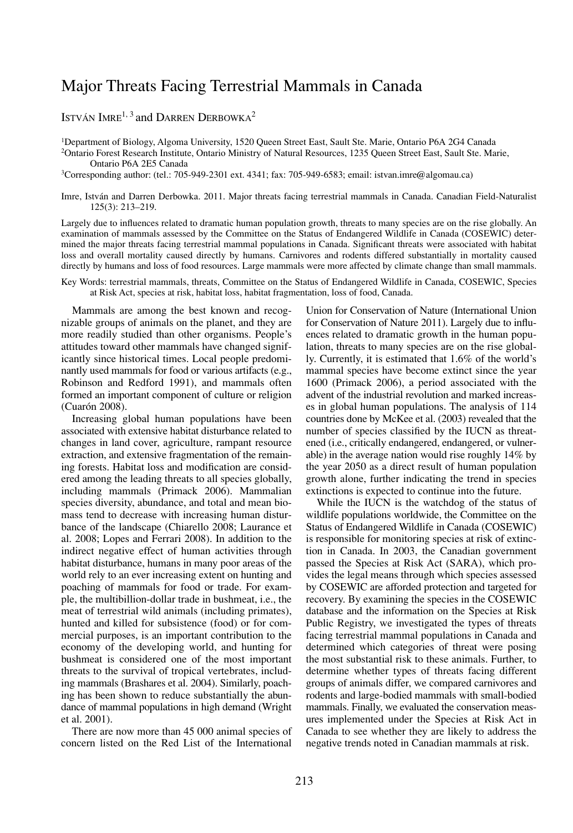# Major Threats Facing Terrestrial Mammals in Canada

ISTVÁN IMRE<sup>1, 3</sup> and DARREN DERBOWKA<sup>2</sup>

1Department of Biology, Algoma University, 1520 Queen Street East, Sault Ste. Marie, Ontario P6A 2G4 Canada

2Ontario Forest Research Institute, Ontario Ministry of Natural Resources, 1235 Queen Street East, Sault Ste. Marie, Ontario P6A 2E5 Canada

<sup>3</sup>Corresponding author: (tel.: 705-949-2301 ext. 4341: fax: 705-949-6583: email: istvan.imre@algomau.ca)

Imre, István and Darren Derbowka. 2011. Major threats facing terrestrial mammals in Canada. Canadian Field-Naturalist 125(3): 213–219.

Largely due to influences related to dramatic human population growth, threats to many species are on the rise globally. An examination of mammals assessed by the Committee on the Status of Endangered Wildlife in Canada (COSEWIC) determined the major threats facing terrestrial mammal populations in Canada. Significant threats were associated with habitat loss and overall mortality caused directly by humans. Carnivores and rodents differed substantially in mortality caused directly by humans and loss of food resources. Large mammals were more affected by climate change than small mammals.

Key Words: terrestrial mammals, threats, Committee on the Status of Endangered Wildlife in Canada, COSEWIC, Species at Risk Act, species at risk, habitat loss, habitat fragmentation, loss of food, Canada.

Mammals are among the best known and recognizable groups of animals on the planet, and they are more readily studied than other organisms. People's attitudes toward other mammals have changed significantly since historical times. Local people predominantly used mammals for food or various artifacts (e.g., Robinson and Redford 1991), and mammals often formed an important component of culture or religion (Cuarón 2008).

Increasing global human populations have been associated with extensive habitat disturbance related to changes in land cover, agriculture, rampant resource extraction, and extensive fragmentation of the remaining forests. Habitat loss and modification are considered among the leading threats to all species globally, including mammals (Primack 2006). Mammalian species diversity, abundance, and total and mean biomass tend to decrease with increasing human disturbance of the landscape (Chiarello 2008; Laurance et al. 2008; Lopes and Ferrari 2008). In addition to the indirect negative effect of human activities through habitat disturbance, humans in many poor areas of the world rely to an ever increasing extent on hunting and poaching of mammals for food or trade. For example, the multibillion-dollar trade in bushmeat, i.e., the meat of terrestrial wild animals (including primates), hunted and killed for subsistence (food) or for commercial purposes, is an important contribution to the economy of the developing world, and hunting for bushmeat is considered one of the most important threats to the survival of tropical vertebrates, including mammals (Brashares et al. 2004). Similarly, poaching has been shown to reduce substantially the abundance of mammal populations in high demand (Wright et al. 2001).

There are now more than 45 000 animal species of concern listed on the Red List of the International Union for Conservation of Nature (International Union for Conservation of Nature 2011). Largely due to influences related to dramatic growth in the human population, threats to many species are on the rise globally. Currently, it is estimated that 1.6% of the world's mammal species have become extinct since the year 1600 (Primack 2006), a period associated with the advent of the industrial revolution and marked increases in global human populations. The analysis of 114 countries done by McKee et al. (2003) revealed that the number of species classified by the IUCN as threatened (i.e., critically endangered, endangered, or vulnerable) in the average nation would rise roughly 14% by the year 2050 as a direct result of human population growth alone, further indicating the trend in species extinctions is expected to continue into the future.

While the IUCN is the watchdog of the status of wildlife populations worldwide, the Committee on the Status of Endangered Wildlife in Canada (COSEWIC) is responsible for monitoring species at risk of extinction in Canada. In 2003, the Canadian government passed the Species at Risk Act (SARA), which provides the legal means through which species assessed by COSEWIC are afforded protection and targeted for recovery. By examining the species in the COSEWIC database and the information on the Species at Risk Public Registry, we investigated the types of threats facing terrestrial mammal populations in Canada and determined which categories of threat were posing the most substantial risk to these animals. Further, to determine whether types of threats facing different groups of animals differ, we compared carnivores and rodents and large-bodied mammals with small-bodied mammals. Finally, we evaluated the conservation measures implemented under the Species at Risk Act in Canada to see whether they are likely to address the negative trends noted in Canadian mammals at risk.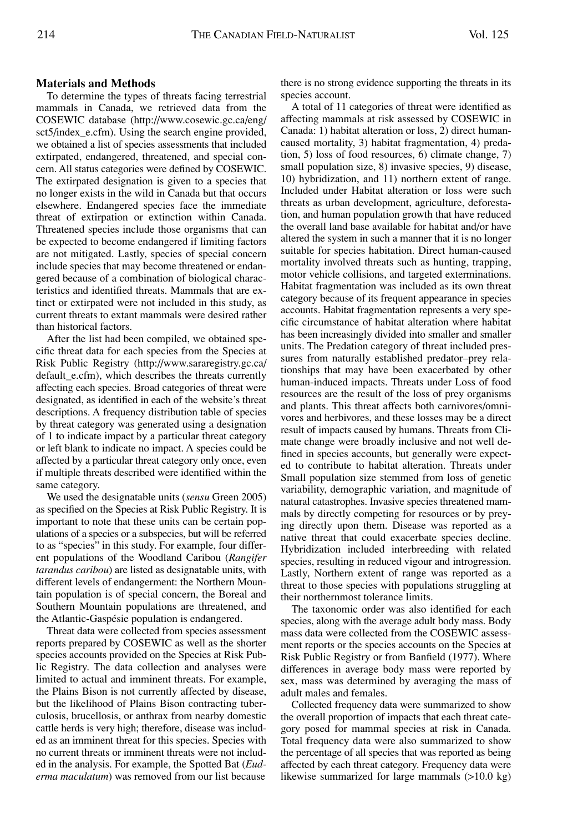## **Materials and Methods**

To determine the types of threats facing terrestrial mammals in Canada, we retrieved data from the COSEWIC database (http://www.cosewic.gc.ca/eng/ sct5/index e.cfm). Using the search engine provided, we obtained a list of species assessments that included extirpated, endangered, threatened, and special concern. All status categories were defined by COSEWIC. The extirpated designation is given to a species that no longer exists in the wild in Canada but that occurs elsewhere. Endangered species face the immediate threat of extirpation or extinction within Canada. Threatened species include those organisms that can be expected to become endangered if limiting factors are not mitigated. Lastly, species of special concern include species that may become threatened or endangered because of a combination of biological characteristics and identified threats. Mammals that are extinct or extirpated were not included in this study, as current threats to extant mammals were desired rather than historical factors.

After the list had been compiled, we obtained specific threat data for each species from the Species at Risk Public Registry (http://www.sararegistry.gc.ca/ default e.cfm), which describes the threats currently affecting each species. Broad categories of threat were designated, as identified in each of the website's threat descriptions. A frequency distribution table of species by threat category was generated using a designation of 1 to indicate impact by a particular threat category or left blank to indicate no impact. A species could be affected by a particular threat category only once, even if multiple threats described were identified within the same category.

We used the designatable units (*sensu* Green 2005) as specified on the Species at Risk Public Registry. It is important to note that these units can be certain populations of a species or a subspecies, but will be referred to as "species" in this study. For example, four different populations of the Woodland Caribou (*Rangifer tarandus caribou*) are listed as designatable units, with different levels of endangerment: the Northern Mountain population is of special concern, the Boreal and Southern Mountain populations are threatened, and the Atlantic-Gaspésie population is endangered.

Threat data were collected from species assessment reports prepared by COSEWIC as well as the shorter species accounts provided on the Species at Risk Public Registry. The data collection and analyses were limited to actual and imminent threats. For example, the Plains Bison is not currently affected by disease, but the likelihood of Plains Bison contracting tuberculosis, brucellosis, or anthrax from nearby domestic cattle herds is very high; therefore, disease was included as an imminent threat for this species. Species with no current threats or imminent threats were not included in the analysis. For example, the Spotted Bat (*Euderma maculatum*) was removed from our list because

there is no strong evidence supporting the threats in its species account.

A total of 11 categories of threat were identified as affecting mammals at risk assessed by COSEWIC in Canada: 1) habitat alteration or loss, 2) direct humancaused mortality, 3) habitat fragmentation, 4) predation, 5) loss of food resources, 6) climate change, 7) small population size, 8) invasive species, 9) disease, 10) hybridization, and 11) northern extent of range. Included under Habitat alteration or loss were such threats as urban development, agriculture, deforestation, and human population growth that have reduced the overall land base available for habitat and/or have altered the system in such a manner that it is no longer suitable for species habitation. Direct human-caused mortality involved threats such as hunting, trapping, motor vehicle collisions, and targeted exterminations. Habitat fragmentation was included as its own threat category because of its frequent appearance in species accounts. Habitat fragmentation represents a very specific circumstance of habitat alteration where habitat has been increasingly divided into smaller and smaller units. The Predation category of threat included pressures from naturally established predator–prey relationships that may have been exacerbated by other human-induced impacts. Threats under Loss of food resources are the result of the loss of prey organisms and plants. This threat affects both carnivores/omnivores and herbivores, and these losses may be a direct result of impacts caused by humans. Threats from Climate change were broadly inclusive and not well defined in species accounts, but generally were expected to contribute to habitat alteration. Threats under Small population size stemmed from loss of genetic variability, demographic variation, and magnitude of natural catastrophes. Invasive species threatened mammals by directly competing for resources or by preying directly upon them. Disease was reported as a native threat that could exacerbate species decline. Hybridization included interbreeding with related species, resulting in reduced vigour and introgression. Lastly, Northern extent of range was reported as a threat to those species with populations struggling at their northernmost tolerance limits.

The taxonomic order was also identified for each species, along with the average adult body mass. Body mass data were collected from the COSEWIC assessment reports or the species accounts on the Species at Risk Public Registry or from Banfield (1977). Where differences in average body mass were reported by sex, mass was determined by averaging the mass of adult males and females.

Collected frequency data were summarized to show the overall proportion of impacts that each threat category posed for mammal species at risk in Canada. Total frequency data were also summarized to show the percentage of all species that was reported as being affected by each threat category. Frequency data were likewise summarized for large mammals (>10.0 kg)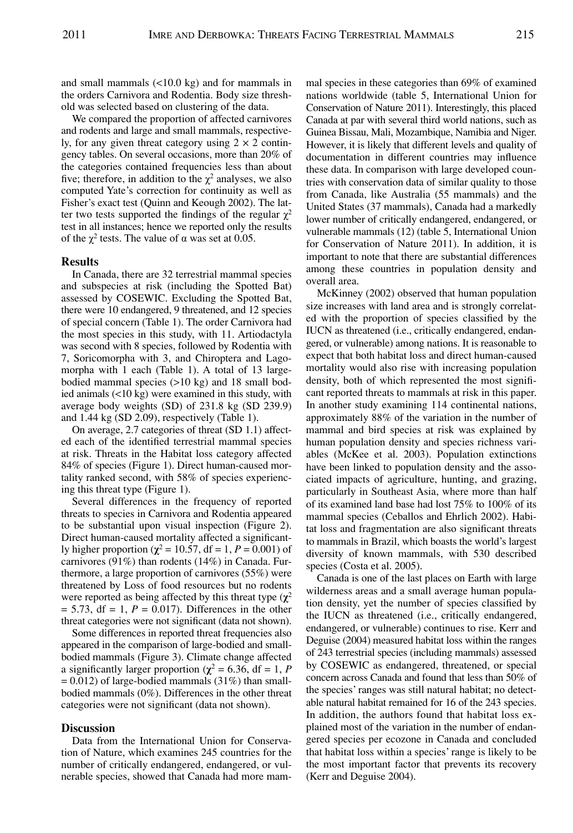and small mammals (<10.0 kg) and for mammals in the orders Carnivora and Rodentia. Body size threshold was selected based on clustering of the data.

We compared the proportion of affected carnivores and rodents and large and small mammals, respectively, for any given threat category using  $2 \times 2$  contingency tables. On several occasions, more than 20% of the categories contained frequencies less than about five; therefore, in addition to the  $\chi^2$  analyses, we also computed Yate's correction for continuity as well as Fisher's exact test (Quinn and Keough 2002). The latter two tests supported the findings of the regular  $\chi^2$ test in all instances; hence we reported only the results of the  $\chi^2$  tests. The value of α was set at 0.05.

#### **Results**

In Canada, there are 32 terrestrial mammal species and subspecies at risk (including the Spotted Bat) assessed by COSEWIC. Excluding the Spotted Bat, there were 10 endangered, 9 threatened, and 12 species of special concern (Table 1). The order Carnivora had the most species in this study, with 11. Artiodactyla was second with 8 species, followed by Rodentia with 7, Soricomorpha with 3, and Chiroptera and Lagomorpha with 1 each (Table 1). A total of 13 largebodied mammal species (>10 kg) and 18 small bodied animals (<10 kg) were examined in this study, with average body weights (SD) of 231.8 kg (SD 239.9) and 1.44 kg (SD 2.09), respectively (Table 1).

On average, 2.7 categories of threat (SD 1.1) affected each of the identified terrestrial mammal species at risk. Threats in the Habitat loss category affected 84% of species (Figure 1). Direct human-caused mortality ranked second, with 58% of species experiencing this threat type (Figure 1).

Several differences in the frequency of reported threats to species in Carnivora and Rodentia appeared to be substantial upon visual inspection (Figure 2). Direct human-caused mortality affected a significantly higher proportion ( $\chi^2$  = 10.57, df = 1, *P* = 0.001) of carnivores (91%) than rodents (14%) in Canada. Furthermore, a large proportion of carnivores (55%) were threatened by Loss of food resources but no rodents were reported as being affected by this threat type  $(\chi^2)$  $= 5.73$ , df  $= 1$ ,  $P = 0.017$ ). Differences in the other threat categories were not significant (data not shown).

Some differences in reported threat frequencies also appeared in the comparison of large-bodied and smallbodied mammals (Figure 3). Climate change affected a significantly larger proportion ( $\chi^2$  = 6.36, df = 1, *P*  $= 0.012$ ) of large-bodied mammals (31%) than smallbodied mammals (0%). Differences in the other threat categories were not significant (data not shown).

#### **Discussion**

Data from the International Union for Conservation of Nature, which examines 245 countries for the number of critically endangered, endangered, or vulnerable species, showed that Canada had more mammal species in these categories than 69% of examined nations worldwide (table 5, International Union for Conservation of Nature 2011). Interestingly, this placed Canada at par with several third world nations, such as Guinea Bissau, Mali, Mozambique, Namibia and Niger. However, it is likely that different levels and quality of documentation in different countries may influence these data. In comparison with large developed countries with conservation data of similar quality to those from Canada, like Australia (55 mammals) and the United States (37 mammals), Canada had a markedly lower number of critically endangered, endangered, or vulnerable mammals (12) (table 5, International Union for Conservation of Nature 2011). In addition, it is important to note that there are substantial differences among these countries in population density and overall area.

McKinney (2002) observed that human population size increases with land area and is strongly correlated with the proportion of species classified by the IUCN as threatened (i.e., critically endangered, endangered, or vulnerable) among nations. It is reasonable to expect that both habitat loss and direct human-caused mortality would also rise with increasing population density, both of which represented the most significant reported threats to mammals at risk in this paper. In another study examining 114 continental nations, approximately 88% of the variation in the number of mammal and bird species at risk was explained by human population density and species richness variables (McKee et al. 2003). Population extinctions have been linked to population density and the associated impacts of agriculture, hunting, and grazing, particularly in Southeast Asia, where more than half of its examined land base had lost 75% to 100% of its mammal species (Ceballos and Ehrlich 2002). Habitat loss and fragmentation are also significant threats to mammals in Brazil, which boasts the world's largest diversity of known mammals, with 530 described species (Costa et al. 2005).

Canada is one of the last places on Earth with large wilderness areas and a small average human population density, yet the number of species classified by the IUCN as threatened (i.e., critically endangered, endangered, or vulnerable) continues to rise. Kerr and Deguise (2004) measured habitat loss within the ranges of 243 terrestrial species (including mammals) assessed by COSEWIC as endangered, threatened, or special concern across Canada and found that less than 50% of the species' ranges was still natural habitat; no detectable natural habitat remained for 16 of the 243 species. In addition, the authors found that habitat loss explained most of the variation in the number of endangered species per ecozone in Canada and concluded that habitat loss within a species' range is likely to be the most important factor that prevents its recovery (Kerr and Deguise 2004).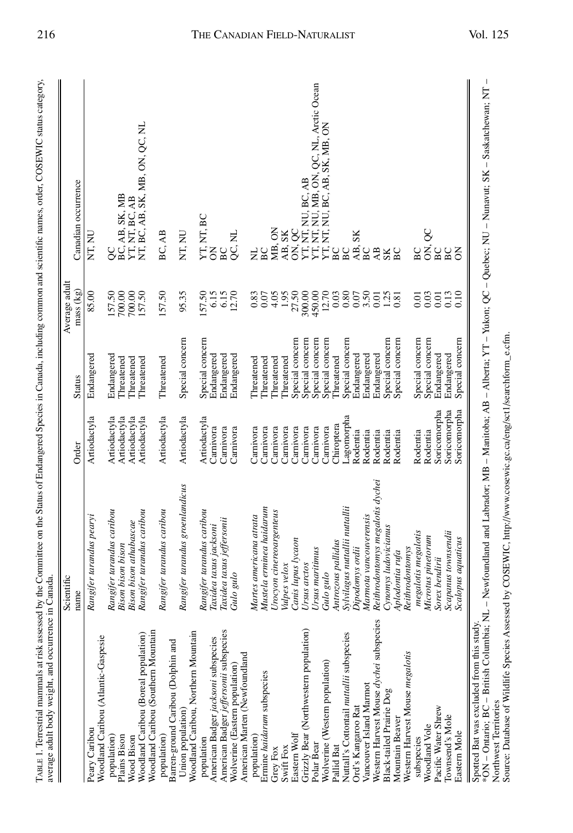| l                                       |  |
|-----------------------------------------|--|
|                                         |  |
|                                         |  |
|                                         |  |
|                                         |  |
| ţ                                       |  |
|                                         |  |
|                                         |  |
|                                         |  |
|                                         |  |
|                                         |  |
|                                         |  |
|                                         |  |
| ļ                                       |  |
|                                         |  |
|                                         |  |
|                                         |  |
|                                         |  |
| ļ                                       |  |
|                                         |  |
|                                         |  |
|                                         |  |
|                                         |  |
|                                         |  |
|                                         |  |
| į<br>i<br>Ę                             |  |
| ;<br>i<br>I<br>ì<br>į<br>1<br>J         |  |
| C COL<br>ì<br>j<br>í                    |  |
| Ī<br>֦<br>ł<br>١<br>l                   |  |
| ĺ                                       |  |
| ī<br>i<br>į<br>֦֢֖֚֚֚֬֝֝֬               |  |
| I<br>ł                                  |  |
| j<br>$\frac{1}{2}$                      |  |
| i<br>I<br>I<br>I                        |  |
| I<br>ļ<br>$\overline{a}$<br>j<br>i<br>ì |  |
| I                                       |  |

|                                                                             | Scientific                       |                   |                 | Average adult       |                                                                                                                                                                   |
|-----------------------------------------------------------------------------|----------------------------------|-------------------|-----------------|---------------------|-------------------------------------------------------------------------------------------------------------------------------------------------------------------|
|                                                                             | name                             | Order             | <b>Status</b>   | mass (kg)           | Canadian occurrence                                                                                                                                               |
| Woodland Caribou (Atlantic-Gaspesie<br>Peary Caribou                        | Rangifer tarandus pearyi         | Artiodactyla      | Endangered      | 85.00               | NT, NU                                                                                                                                                            |
|                                                                             |                                  |                   |                 |                     |                                                                                                                                                                   |
| population)                                                                 | Rangifer tarandus caribou        | Artiodactyla      | Endangered      | 157.50              | 8                                                                                                                                                                 |
| <b>Plains Bison</b>                                                         | <b>Bison</b> bison bison         | Artiodactyla      | Threatened      | 700.00              | BC, AB, SK, MB                                                                                                                                                    |
| Wood Bison                                                                  | Bison bison athabascae           | Artiodactyla      | Threatened      | 700.00              |                                                                                                                                                                   |
| Woodland Caribou (Southern Mountain<br>Woodland Caribou (Boreal population) | Rangifer tarandus caribou        | Artiodactyla      | Threatened      | 157.50              | YT, NT, BC, AB<br>NT, BC, AB, SK, MB, ON, QC, NL                                                                                                                  |
| population)                                                                 | Rangifer tarandus caribou        | Artiodactyla      | Threatened      | 157.50              | BC, AB                                                                                                                                                            |
| Barren-ground Caribou (Dolphin and                                          |                                  |                   |                 |                     |                                                                                                                                                                   |
| Woodland Caribou, Northern Mountain<br>Union population)                    | Rangifer tarandus groenlandicus  | Artiodactyla      | Special concern | 95.35               | NT, NU                                                                                                                                                            |
| population                                                                  | Rangifer tarandus caribou        | Artiodactyla      | Special concern | 157.50              |                                                                                                                                                                   |
| American Badger jacksoni subspecies                                         | Taxidea taxus jacksoni           | Carnivora         | Endangered      | 6.15                | $\begin{array}{c}\tt{YT}, \tt{NT}, \tt{BC} \\ \mathbf{ON}\end{array}$                                                                                             |
| American Badger jeffersonii subspecies                                      | Taxidea taxus jeffersonii        | Carnivora         | Endangered      | 6.15                | BC                                                                                                                                                                |
| American Marten (Newfoundland<br>Wolverine (Eastern population)             | Gulo gulo                        | Carnivora         | Endangered      | 12.70               | QC, NL                                                                                                                                                            |
|                                                                             |                                  |                   |                 |                     |                                                                                                                                                                   |
| population)                                                                 | Martes americana atrata          | Carnivora         | Threatened      | 0.83                | Ę                                                                                                                                                                 |
| Ermine haidarum subspecies                                                  | Mustela erminea haidarum         | Carnivora         | Threatened      | 0.07                | BC                                                                                                                                                                |
| <b>Grey Fox</b>                                                             | Urocyon cinereoargenteus         | Carnivora         | Threatened      | 4.05                | MB, ON                                                                                                                                                            |
| Swift Fox                                                                   | Vulpes velox                     | Carnivora         | Threatened      | 1.95                | AB, SK                                                                                                                                                            |
| Eastern Wolf                                                                | Canis lupus lycaon               | Carnivora         | Special concern | 27.50               | ON, QC                                                                                                                                                            |
| Grizzly Bear (Northwestern population)                                      | Ursus arctos                     | Jarnivora         | Special concern | 300.00              | YT, NT, NU, BC, AB<br>YT, NT, NU, MB, ON, QC, NL, Arctic Ocean<br>YT, NT, NU, BC, AB, SK, MB, ON                                                                  |
| Polar Bear                                                                  | Ursus maritimus                  | Carnivora         | Special concern | 450.00              |                                                                                                                                                                   |
| Wolverine (Western population)                                              | Gulo gulo                        | Carnivora         | Special concern | 12.70               |                                                                                                                                                                   |
| Pallid Bat                                                                  | Antrozous pallidus               | <b>Chiroptera</b> | Threatened      | 0.03                | BC<br>BC                                                                                                                                                          |
| Nuttall's Cottontail nuttallii subspecies                                   | Sylvilagus nuttallii nuttallii   | -agomorpha        | Special concern | 0.80                |                                                                                                                                                                   |
| Ord's Kangaroo Rat                                                          | Dipodomys ordii                  | Rodentia          | Endangered      | 0.07                | AB, SK                                                                                                                                                            |
| Vancouver Island Marmot                                                     | Marmota vancouverensis           | Rodentia          | Endangered      | 3.50                | BC                                                                                                                                                                |
| Western Harvest Mouse dychei subspecies                                     | Reithrodontomys megalotis dychei | Rodentia          | Endangered      | 0.01                | AB                                                                                                                                                                |
| Black-tailed Prairie Dog                                                    | Cynomys ludovicianus             | Rodentia          | Special concern | $1.25$<br>0.81      | $S_{K}$                                                                                                                                                           |
| Mountain Beaver                                                             | Aplodontia rufa                  | Rodentia          | Special concern |                     | BC                                                                                                                                                                |
| Western Harvest Mouse megalotis                                             | Reithrodontomys                  |                   |                 |                     |                                                                                                                                                                   |
| subspecies                                                                  | megalotis megalotis              | Rodentia          | Special concern | 0.01                |                                                                                                                                                                   |
| Woodland Vole                                                               | Microtus pinetorum               | Rodentia          | Special concern | $\frac{0.03}{0.01}$ | BC<br>ON, QC                                                                                                                                                      |
| Pacific Water Shrew                                                         | Sorex bendirii                   | Soricomorpha      | Endangered      |                     | BC                                                                                                                                                                |
| Townsend's Mole                                                             | Scapanus townsendii              | Soricomorpha      | Endangered      | 0.13                | BC                                                                                                                                                                |
| Eastern Mole                                                                | Scalopus aquaticus               | Soricomorpha      | Special concern | 0.10                | ă                                                                                                                                                                 |
| Spotted Bat was excluded from this study.                                   |                                  |                   |                 |                     | *ON - Ontario; BC - British Columbia; NL - Newfoundland and Labrador; MB - Manitoba; AB - Alberta; YT - Yukon; QC - Quebec; NU - Nunavut; SK - Saskatchewan; NT - |

OSE

WIC, http://w

w

w.cosewic.gc.ca/eng/sct1/searchform\_e.cfm.

Source: Database of Wildlife Species Assessed by C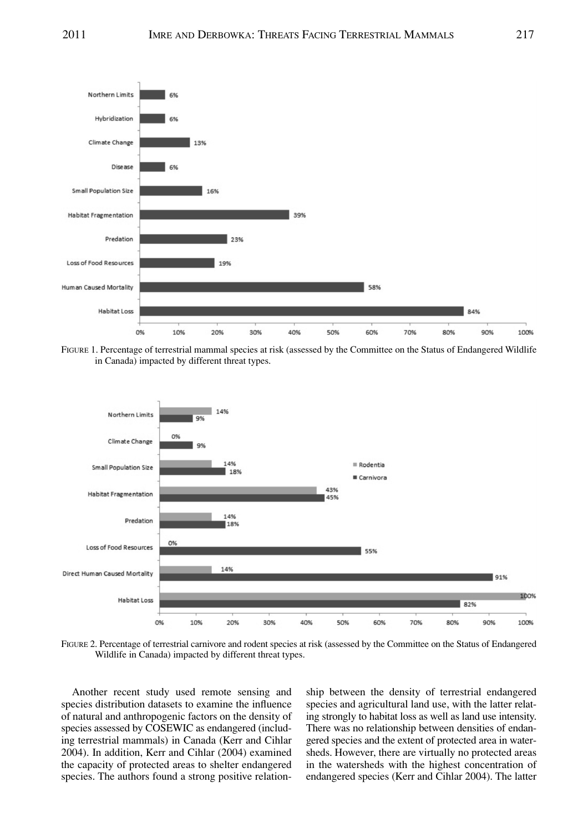

FIGURE 1. Percentage of terrestrial mammal species at risk (assessed by the Committee on the Status of Endangered Wildlife in Canada) impacted by different threat types.



FIGURE 2. Percentage of terrestrial carnivore and rodent species at risk (assessed by the Committee on the Status of Endangered Wildlife in Canada) impacted by different threat types.

Another recent study used remote sensing and species distribution datasets to examine the influence of natural and anthropogenic factors on the density of species assessed by COSEWIC as endangered (including terrestrial mammals) in Canada (Kerr and Cihlar 2004). In addition, Kerr and Cihlar (2004) examined the capacity of protected areas to shelter endangered species. The authors found a strong positive relationship between the density of terrestrial endangered species and agricultural land use, with the latter relating strongly to habitat loss as well as land use intensity. There was no relationship between densities of endangered species and the extent of protected area in watersheds. However, there are virtually no protected areas in the watersheds with the highest concentration of endangered species (Kerr and Cihlar 2004). The latter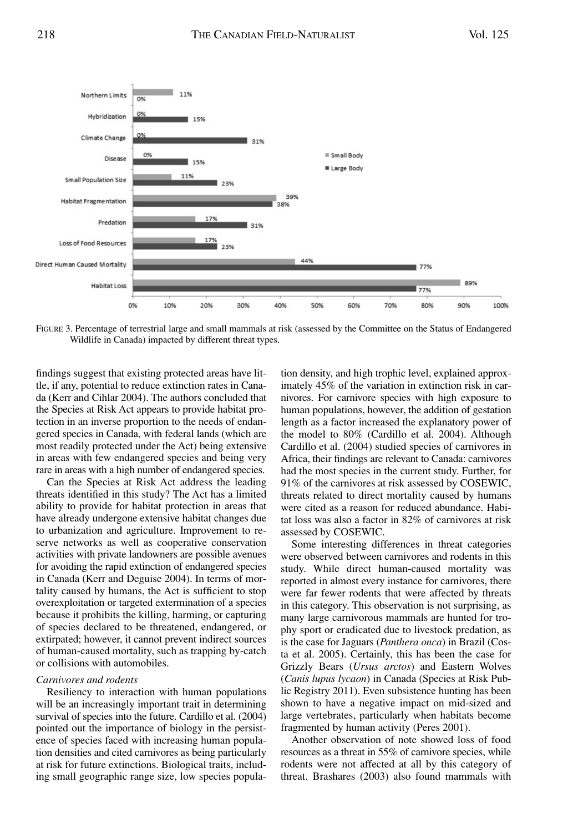

FIGURE 3. Percentage of terrestrial large and small mammals at risk (assessed by the Committee on the Status of Endangered Wildlife in Canada) impacted by different threat types.

findings suggest that existing protected areas have little, if any, potential to reduce extinction rates in Canada (Kerr and Cihlar 2004). The authors concluded that the Species at Risk Act appears to provide habitat protection in an inverse proportion to the needs of endangered species in Canada, with federal lands (which are most readily protected under the Act) being extensive in areas with few endangered species and being very rare in areas with a high number of endangered species.

Can the Species at Risk Act address the leading threats identified in this study? The Act has a limited ability to provide for habitat protection in areas that have already undergone extensive habitat changes due to urbanization and agriculture. Improvement to reserve networks as well as cooperative conservation activities with private landowners are possible avenues for avoiding the rapid extinction of endangered species in Canada (Kerr and Deguise 2004). In terms of mortality caused by humans, the Act is sufficient to stop overexploitation or targeted extermination of a species because it prohibits the killing, harming, or capturing of species declared to be threatened, endangered, or extirpated; however, it cannot prevent indirect sources of human-caused mortality, such as trapping by-catch or collisions with automobiles.

### *Carnivores and rodents*

Resiliency to interaction with human populations will be an increasingly important trait in determining survival of species into the future. Cardillo et al. (2004) pointed out the importance of biology in the persistence of species faced with increasing human population densities and cited carnivores as being particularly at risk for future extinctions. Biological traits, including small geographic range size, low species population density, and high trophic level, explained approximately 45% of the variation in extinction risk in carnivores. For carnivore species with high exposure to human populations, however, the addition of gestation length as a factor increased the explanatory power of the model to 80% (Cardillo et al. 2004). Although Cardillo et al. (2004) studied species of carnivores in Africa, their findings are relevant to Canada: carnivores had the most species in the current study. Further, for 91% of the carnivores at risk assessed by COSEWIC, threats related to direct mortality caused by humans were cited as a reason for reduced abundance. Habitat loss was also a factor in 82% of carnivores at risk assessed by COSEWIC.

Some interesting differences in threat categories were observed between carnivores and rodents in this study. While direct human-caused mortality was reported in almost every instance for carnivores, there were far fewer rodents that were affected by threats in this category. This observation is not surprising, as many large carnivorous mammals are hunted for trophy sport or eradicated due to livestock predation, as is the case for Jaguars (*Panthera onca*) in Brazil (Costa et al. 2005). Certainly, this has been the case for Grizzly Bears (*Ursus arctos*) and Eastern Wolves (*Canis lupus lycaon*) in Canada (Species at Risk Public Registry 2011). Even subsistence hunting has been shown to have a negative impact on mid-sized and large vertebrates, particularly when habitats become fragmented by human activity (Peres 2001).

Another observation of note showed loss of food resources as a threat in 55% of carnivore species, while rodents were not affected at all by this category of threat. Brashares (2003) also found mammals with